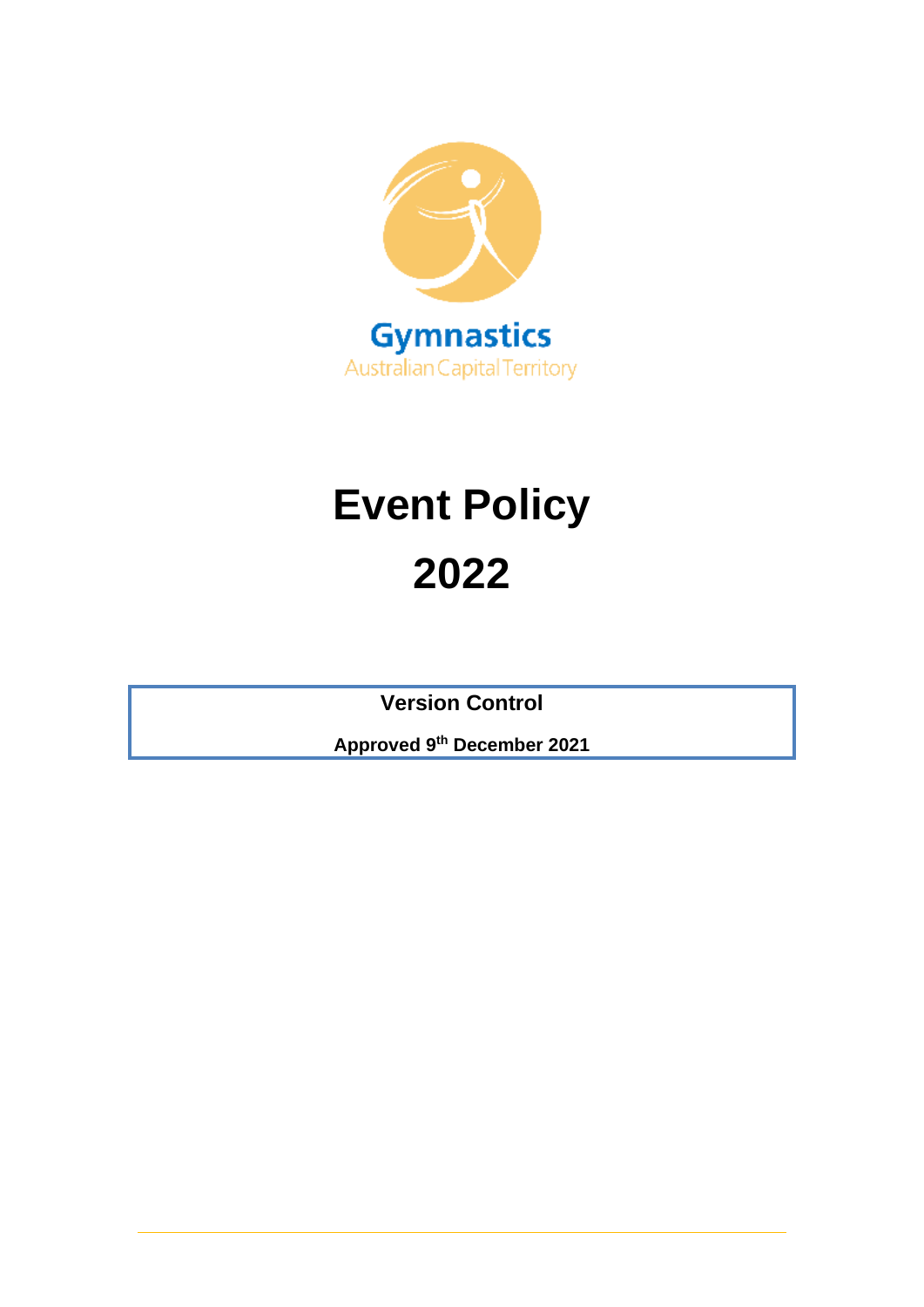

# **Event Policy 2022**

**Version Control**

**Approved 9th December 2021**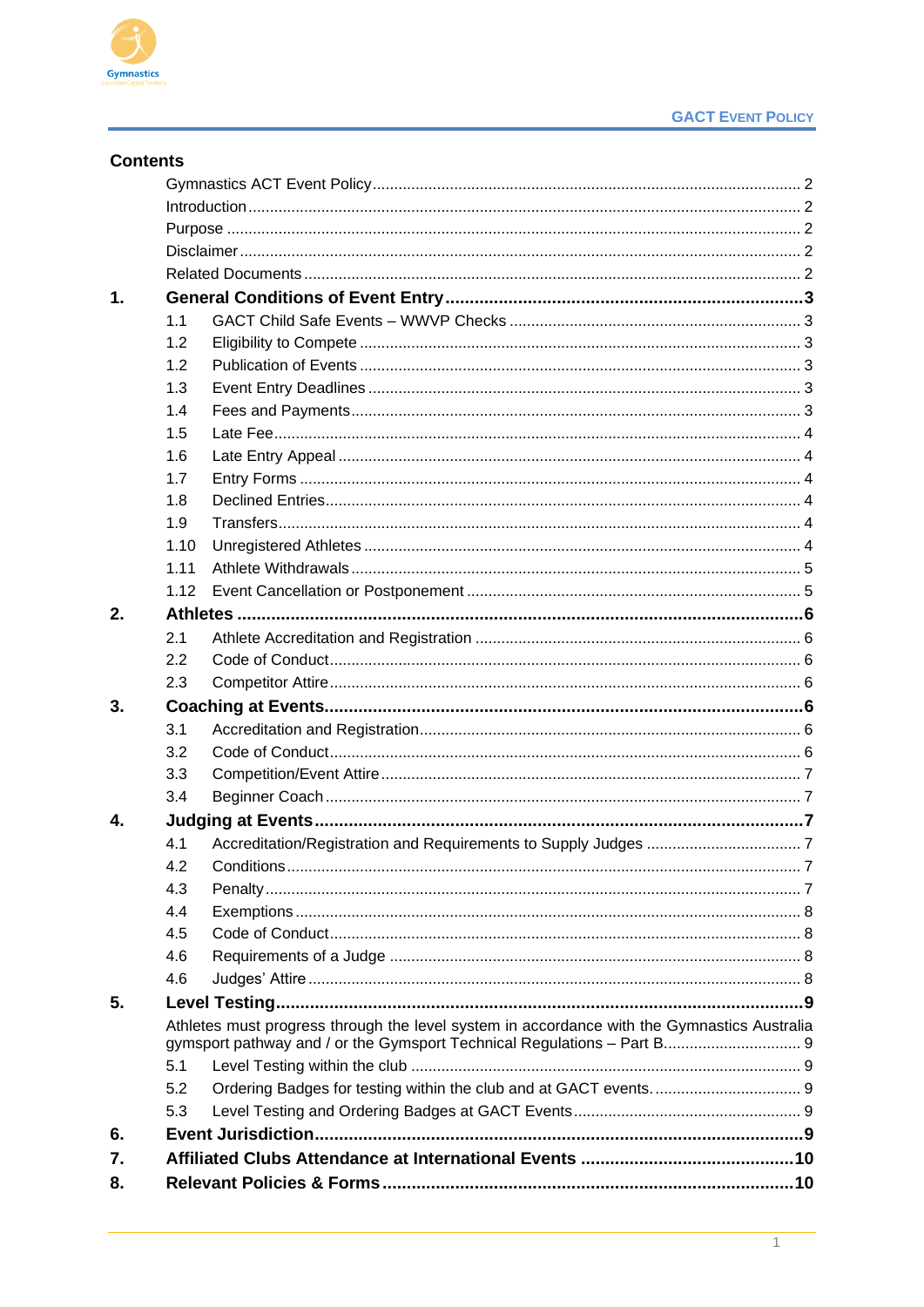

| <b>Contents</b> |                                                                                             |  |  |
|-----------------|---------------------------------------------------------------------------------------------|--|--|
|                 |                                                                                             |  |  |
|                 |                                                                                             |  |  |
|                 |                                                                                             |  |  |
|                 |                                                                                             |  |  |
|                 |                                                                                             |  |  |
| 1.              |                                                                                             |  |  |
|                 | 1.1                                                                                         |  |  |
|                 | 1.2                                                                                         |  |  |
|                 | 1.2                                                                                         |  |  |
|                 | 1.3                                                                                         |  |  |
|                 | 1.4                                                                                         |  |  |
|                 | 1.5                                                                                         |  |  |
|                 | 1.6                                                                                         |  |  |
|                 | 1.7                                                                                         |  |  |
|                 | 1.8                                                                                         |  |  |
|                 | 1.9                                                                                         |  |  |
|                 | 1.10                                                                                        |  |  |
|                 | 1.11                                                                                        |  |  |
|                 | 1.12                                                                                        |  |  |
| 2.              |                                                                                             |  |  |
|                 | 2.1                                                                                         |  |  |
|                 | 2.2                                                                                         |  |  |
|                 | 2.3                                                                                         |  |  |
| 3.              |                                                                                             |  |  |
|                 | 3.1                                                                                         |  |  |
|                 | 3.2                                                                                         |  |  |
|                 | 3.3                                                                                         |  |  |
|                 | 3.4                                                                                         |  |  |
| 4.              |                                                                                             |  |  |
|                 | 4.2                                                                                         |  |  |
|                 | 4.3                                                                                         |  |  |
|                 | 4.4                                                                                         |  |  |
|                 | 4.5                                                                                         |  |  |
|                 | 4.6                                                                                         |  |  |
|                 | 4.6                                                                                         |  |  |
| 5.              |                                                                                             |  |  |
|                 | Athletes must progress through the level system in accordance with the Gymnastics Australia |  |  |
|                 |                                                                                             |  |  |
|                 | 5.1                                                                                         |  |  |
|                 | 5.2                                                                                         |  |  |
|                 | 5.3                                                                                         |  |  |
| 6.              |                                                                                             |  |  |
| 7.              |                                                                                             |  |  |
| 8.              |                                                                                             |  |  |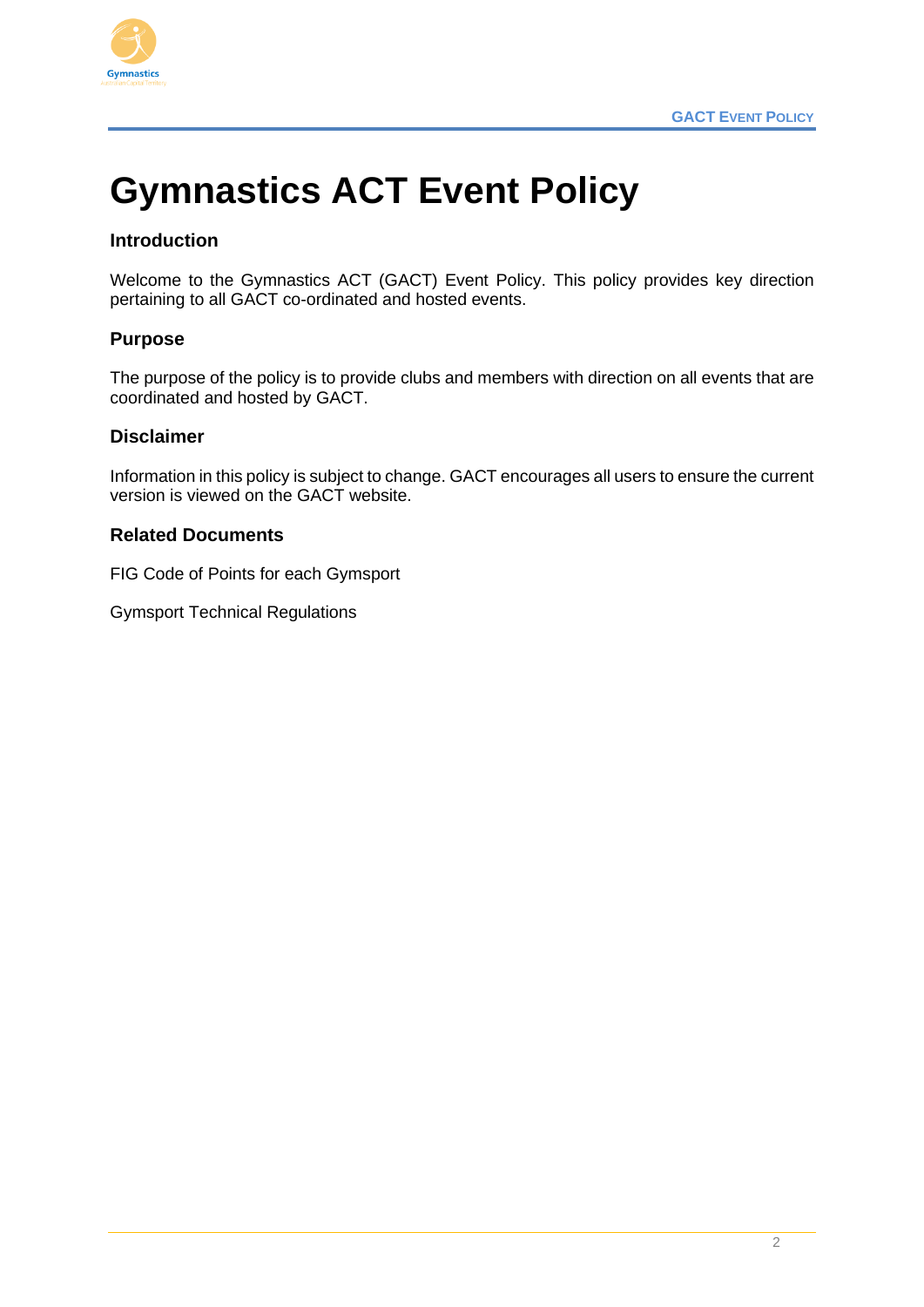

# <span id="page-2-0"></span>**Gymnastics ACT Event Policy**

# <span id="page-2-1"></span>**Introduction**

Welcome to the Gymnastics ACT (GACT) Event Policy. This policy provides key direction pertaining to all GACT co-ordinated and hosted events.

#### <span id="page-2-2"></span>**Purpose**

The purpose of the policy is to provide clubs and members with direction on all events that are coordinated and hosted by GACT.

#### <span id="page-2-3"></span>**Disclaimer**

Information in this policy is subject to change. GACT encourages all users to ensure the current version is viewed on the GACT website.

#### <span id="page-2-4"></span>**Related Documents**

FIG Code of Points for each Gymsport

Gymsport Technical Regulations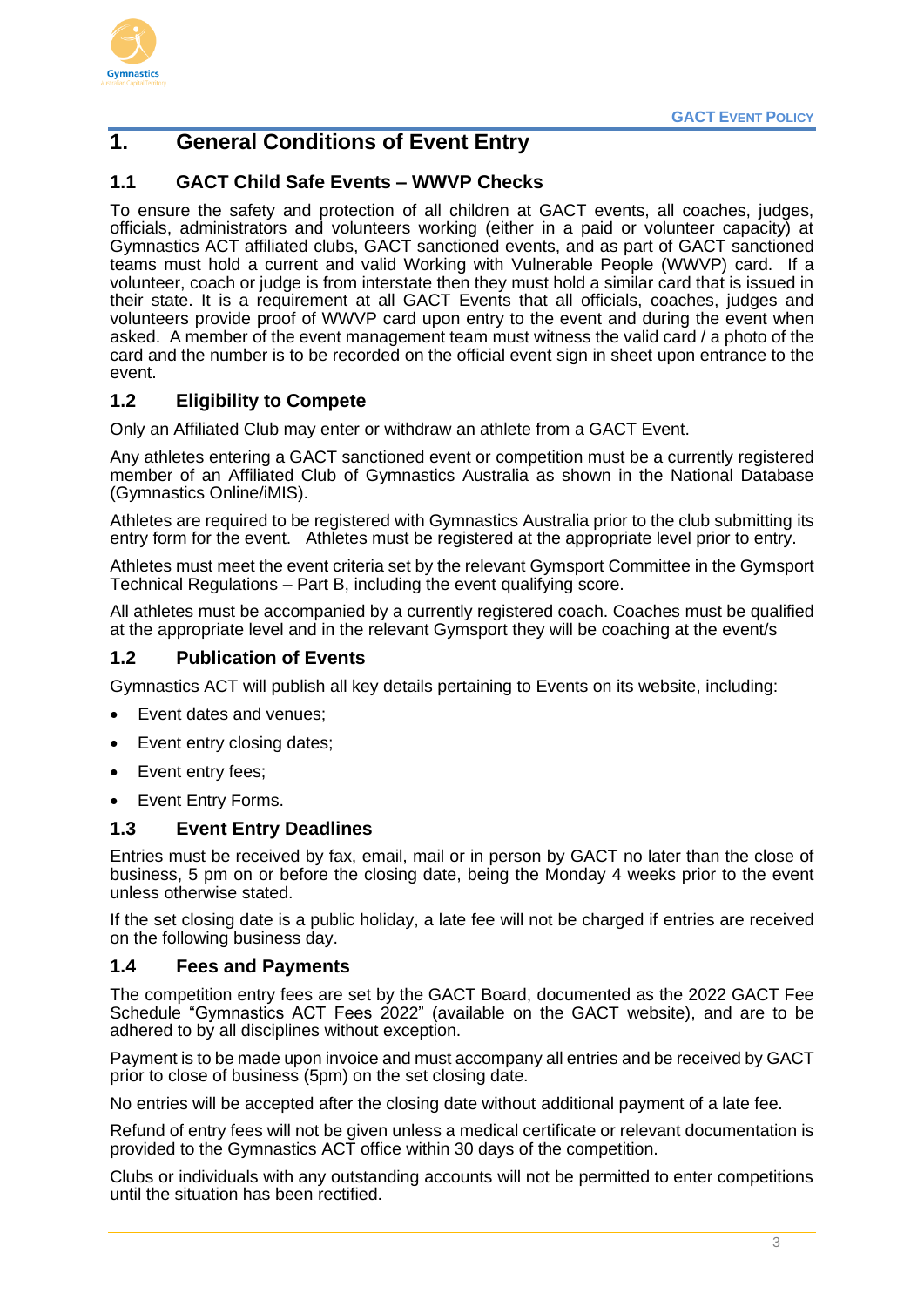

# <span id="page-3-0"></span>**1. General Conditions of Event Entry**

#### <span id="page-3-1"></span>**1.1 GACT Child Safe Events – WWVP Checks**

To ensure the safety and protection of all children at GACT events, all coaches, judges, officials, administrators and volunteers working (either in a paid or volunteer capacity) at Gymnastics ACT affiliated clubs, GACT sanctioned events, and as part of GACT sanctioned teams must hold a current and valid Working with Vulnerable People (WWVP) card. If a volunteer, coach or judge is from interstate then they must hold a similar card that is issued in their state. It is a requirement at all GACT Events that all officials, coaches, judges and volunteers provide proof of WWVP card upon entry to the event and during the event when asked. A member of the event management team must witness the valid card / a photo of the card and the number is to be recorded on the official event sign in sheet upon entrance to the event.

#### <span id="page-3-2"></span>**1.2 Eligibility to Compete**

Only an Affiliated Club may enter or withdraw an athlete from a GACT Event.

Any athletes entering a GACT sanctioned event or competition must be a currently registered member of an Affiliated Club of Gymnastics Australia as shown in the National Database (Gymnastics Online/iMIS).

Athletes are required to be registered with Gymnastics Australia prior to the club submitting its entry form for the event. Athletes must be registered at the appropriate level prior to entry.

Athletes must meet the event criteria set by the relevant Gymsport Committee in the Gymsport Technical Regulations – Part B, including the event qualifying score.

All athletes must be accompanied by a currently registered coach. Coaches must be qualified at the appropriate level and in the relevant Gymsport they will be coaching at the event/s

#### <span id="page-3-3"></span>**1.2 Publication of Events**

Gymnastics ACT will publish all key details pertaining to Events on its website, including:

- Event dates and venues;
- Event entry closing dates;
- Event entry fees;
- Event Entry Forms.

#### <span id="page-3-4"></span>**1.3 Event Entry Deadlines**

Entries must be received by fax, email, mail or in person by GACT no later than the close of business, 5 pm on or before the closing date, being the Monday 4 weeks prior to the event unless otherwise stated.

If the set closing date is a public holiday, a late fee will not be charged if entries are received on the following business day.

#### <span id="page-3-5"></span>**1.4 Fees and Payments**

The competition entry fees are set by the GACT Board, documented as the 2022 GACT Fee Schedule "Gymnastics ACT Fees 2022" (available on the GACT website), and are to be adhered to by all disciplines without exception.

Payment is to be made upon invoice and must accompany all entries and be received by GACT prior to close of business (5pm) on the set closing date.

No entries will be accepted after the closing date without additional payment of a late fee.

Refund of entry fees will not be given unless a medical certificate or relevant documentation is provided to the Gymnastics ACT office within 30 days of the competition.

Clubs or individuals with any outstanding accounts will not be permitted to enter competitions until the situation has been rectified.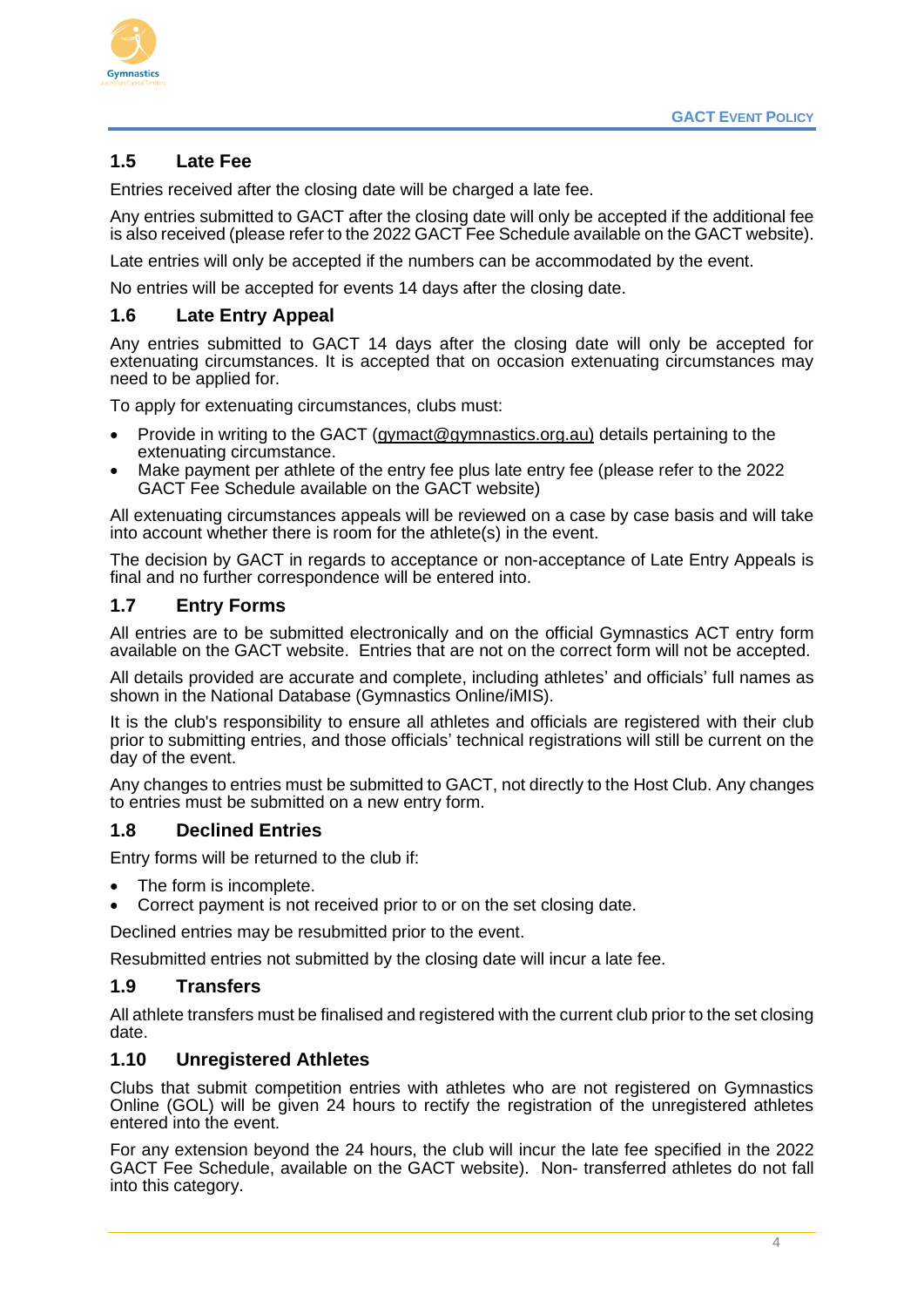

#### <span id="page-4-0"></span>**1.5 Late Fee**

Entries received after the closing date will be charged a late fee.

Any entries submitted to GACT after the closing date will only be accepted if the additional fee is also received (please refer to the 2022 GACT Fee Schedule available on the GACT website).

Late entries will only be accepted if the numbers can be accommodated by the event.

No entries will be accepted for events 14 days after the closing date.

#### <span id="page-4-1"></span>**1.6 Late Entry Appeal**

Any entries submitted to GACT 14 days after the closing date will only be accepted for extenuating circumstances. It is accepted that on occasion extenuating circumstances may need to be applied for.

To apply for extenuating circumstances, clubs must:

- Provide in writing to the GACT (gymact@gymnastics.org.au) details pertaining to the extenuating circumstance.
- Make payment per athlete of the entry fee plus late entry fee (please refer to the 2022 GACT Fee Schedule available on the GACT website)

All extenuating circumstances appeals will be reviewed on a case by case basis and will take into account whether there is room for the athlete(s) in the event.

The decision by GACT in regards to acceptance or non-acceptance of Late Entry Appeals is final and no further correspondence will be entered into.

#### <span id="page-4-2"></span>**1.7 Entry Forms**

All entries are to be submitted electronically and on the official Gymnastics ACT entry form available on the GACT website. Entries that are not on the correct form will not be accepted.

All details provided are accurate and complete, including athletes' and officials' full names as shown in the National Database (Gymnastics Online/iMIS).

It is the club's responsibility to ensure all athletes and officials are registered with their club prior to submitting entries, and those officials' technical registrations will still be current on the day of the event.

Any changes to entries must be submitted to GACT, not directly to the Host Club. Any changes to entries must be submitted on a new entry form.

#### <span id="page-4-3"></span>**1.8 Declined Entries**

Entry forms will be returned to the club if:

- The form is incomplete.
- Correct payment is not received prior to or on the set closing date.

Declined entries may be resubmitted prior to the event.

Resubmitted entries not submitted by the closing date will incur a late fee.

#### <span id="page-4-4"></span>**1.9 Transfers**

All athlete transfers must be finalised and registered with the current club prior to the set closing date.

#### <span id="page-4-5"></span>**1.10 Unregistered Athletes**

Clubs that submit competition entries with athletes who are not registered on Gymnastics Online (GOL) will be given 24 hours to rectify the registration of the unregistered athletes entered into the event.

For any extension beyond the 24 hours, the club will incur the late fee specified in the 2022 GACT Fee Schedule, available on the GACT website). Non- transferred athletes do not fall into this category.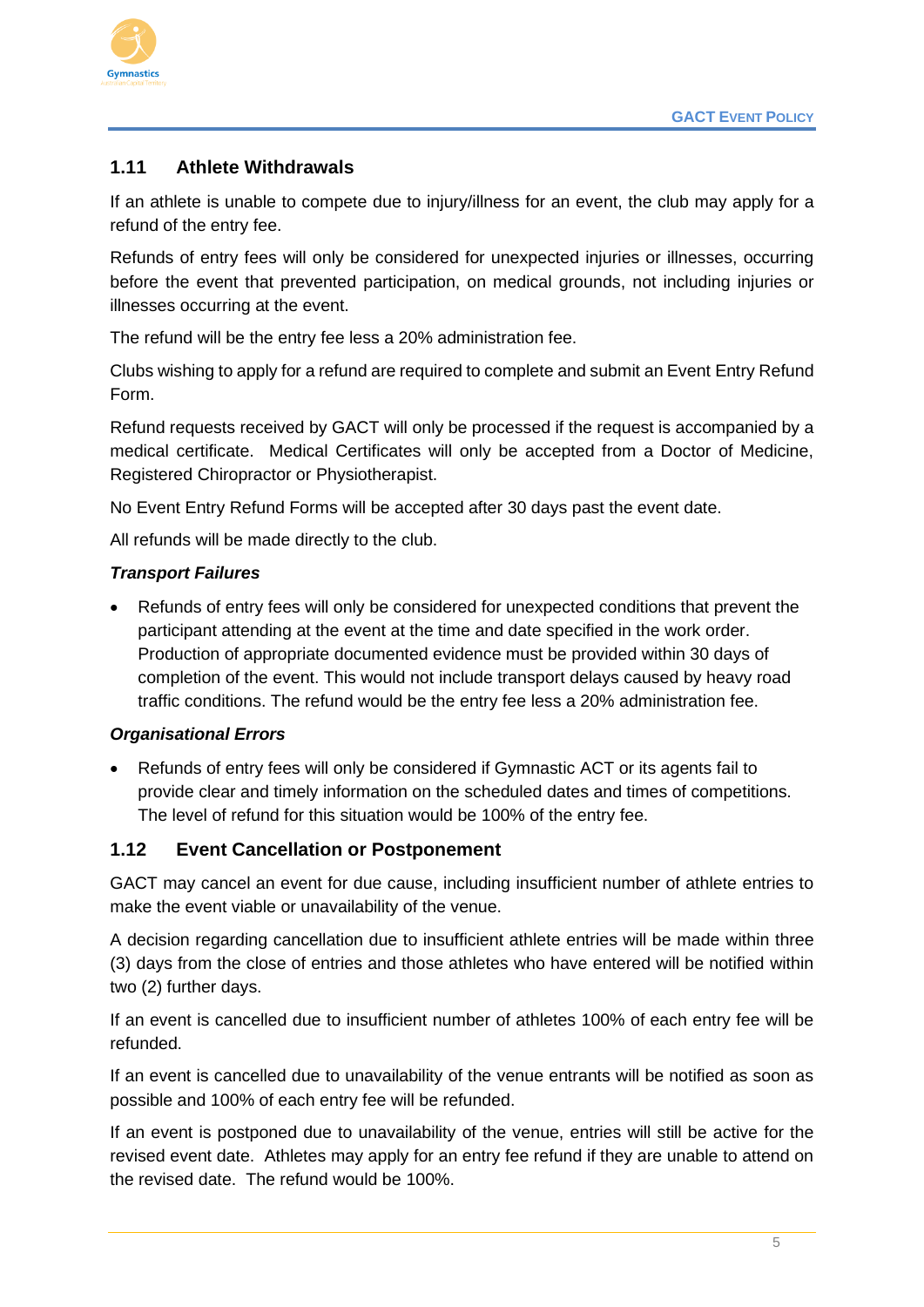

#### <span id="page-5-0"></span>**1.11 Athlete Withdrawals**

If an athlete is unable to compete due to injury/illness for an event, the club may apply for a refund of the entry fee.

Refunds of entry fees will only be considered for unexpected injuries or illnesses, occurring before the event that prevented participation, on medical grounds, not including injuries or illnesses occurring at the event.

The refund will be the entry fee less a 20% administration fee.

Clubs wishing to apply for a refund are required to complete and submit an Event Entry Refund Form.

Refund requests received by GACT will only be processed if the request is accompanied by a medical certificate. Medical Certificates will only be accepted from a Doctor of Medicine, Registered Chiropractor or Physiotherapist.

No Event Entry Refund Forms will be accepted after 30 days past the event date.

All refunds will be made directly to the club.

#### *Transport Failures*

• Refunds of entry fees will only be considered for unexpected conditions that prevent the participant attending at the event at the time and date specified in the work order. Production of appropriate documented evidence must be provided within 30 days of completion of the event. This would not include transport delays caused by heavy road traffic conditions. The refund would be the entry fee less a 20% administration fee.

#### *Organisational Errors*

• Refunds of entry fees will only be considered if Gymnastic ACT or its agents fail to provide clear and timely information on the scheduled dates and times of competitions. The level of refund for this situation would be 100% of the entry fee.

#### <span id="page-5-1"></span>**1.12 Event Cancellation or Postponement**

GACT may cancel an event for due cause, including insufficient number of athlete entries to make the event viable or unavailability of the venue.

A decision regarding cancellation due to insufficient athlete entries will be made within three (3) days from the close of entries and those athletes who have entered will be notified within two (2) further days.

If an event is cancelled due to insufficient number of athletes 100% of each entry fee will be refunded.

If an event is cancelled due to unavailability of the venue entrants will be notified as soon as possible and 100% of each entry fee will be refunded.

If an event is postponed due to unavailability of the venue, entries will still be active for the revised event date. Athletes may apply for an entry fee refund if they are unable to attend on the revised date. The refund would be 100%.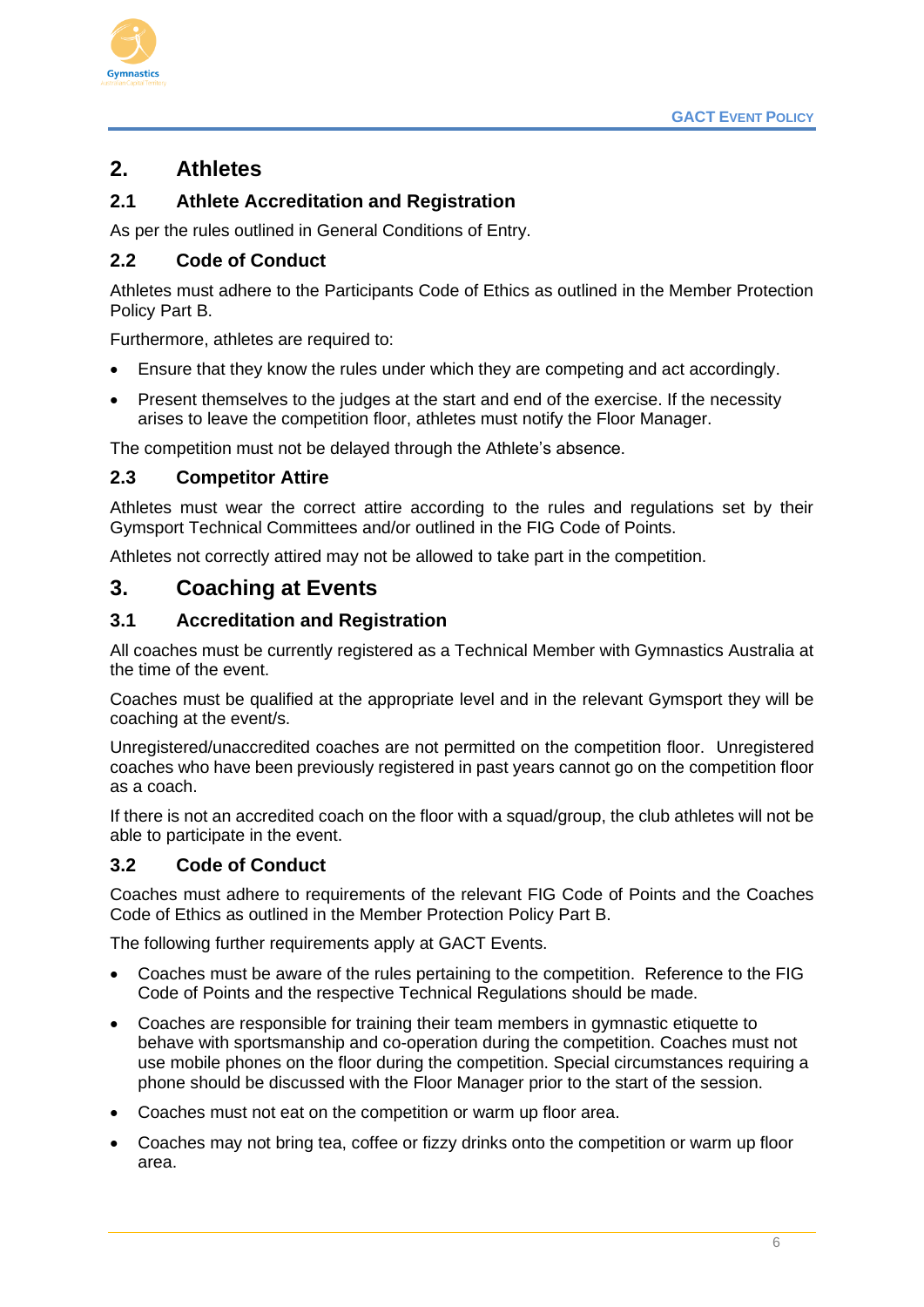

# <span id="page-6-0"></span>**2. Athletes**

## <span id="page-6-1"></span>**2.1 Athlete Accreditation and Registration**

As per the rules outlined in General Conditions of Entry.

#### <span id="page-6-2"></span>**2.2 Code of Conduct**

Athletes must adhere to the Participants Code of Ethics as outlined in the Member Protection Policy Part B.

Furthermore, athletes are required to:

- Ensure that they know the rules under which they are competing and act accordingly.
- Present themselves to the judges at the start and end of the exercise. If the necessity arises to leave the competition floor, athletes must notify the Floor Manager.

The competition must not be delayed through the Athlete's absence.

#### <span id="page-6-3"></span>**2.3 Competitor Attire**

Athletes must wear the correct attire according to the rules and regulations set by their Gymsport Technical Committees and/or outlined in the FIG Code of Points.

Athletes not correctly attired may not be allowed to take part in the competition.

# <span id="page-6-4"></span>**3. Coaching at Events**

#### <span id="page-6-5"></span>**3.1 Accreditation and Registration**

All coaches must be currently registered as a Technical Member with Gymnastics Australia at the time of the event.

Coaches must be qualified at the appropriate level and in the relevant Gymsport they will be coaching at the event/s.

Unregistered/unaccredited coaches are not permitted on the competition floor. Unregistered coaches who have been previously registered in past years cannot go on the competition floor as a coach.

If there is not an accredited coach on the floor with a squad/group, the club athletes will not be able to participate in the event.

#### <span id="page-6-6"></span>**3.2 Code of Conduct**

Coaches must adhere to requirements of the relevant FIG Code of Points and the Coaches Code of Ethics as outlined in the Member Protection Policy Part B.

The following further requirements apply at GACT Events.

- Coaches must be aware of the rules pertaining to the competition. Reference to the FIG Code of Points and the respective Technical Regulations should be made.
- Coaches are responsible for training their team members in gymnastic etiquette to behave with sportsmanship and co-operation during the competition. Coaches must not use mobile phones on the floor during the competition. Special circumstances requiring a phone should be discussed with the Floor Manager prior to the start of the session.
- Coaches must not eat on the competition or warm up floor area.
- Coaches may not bring tea, coffee or fizzy drinks onto the competition or warm up floor area.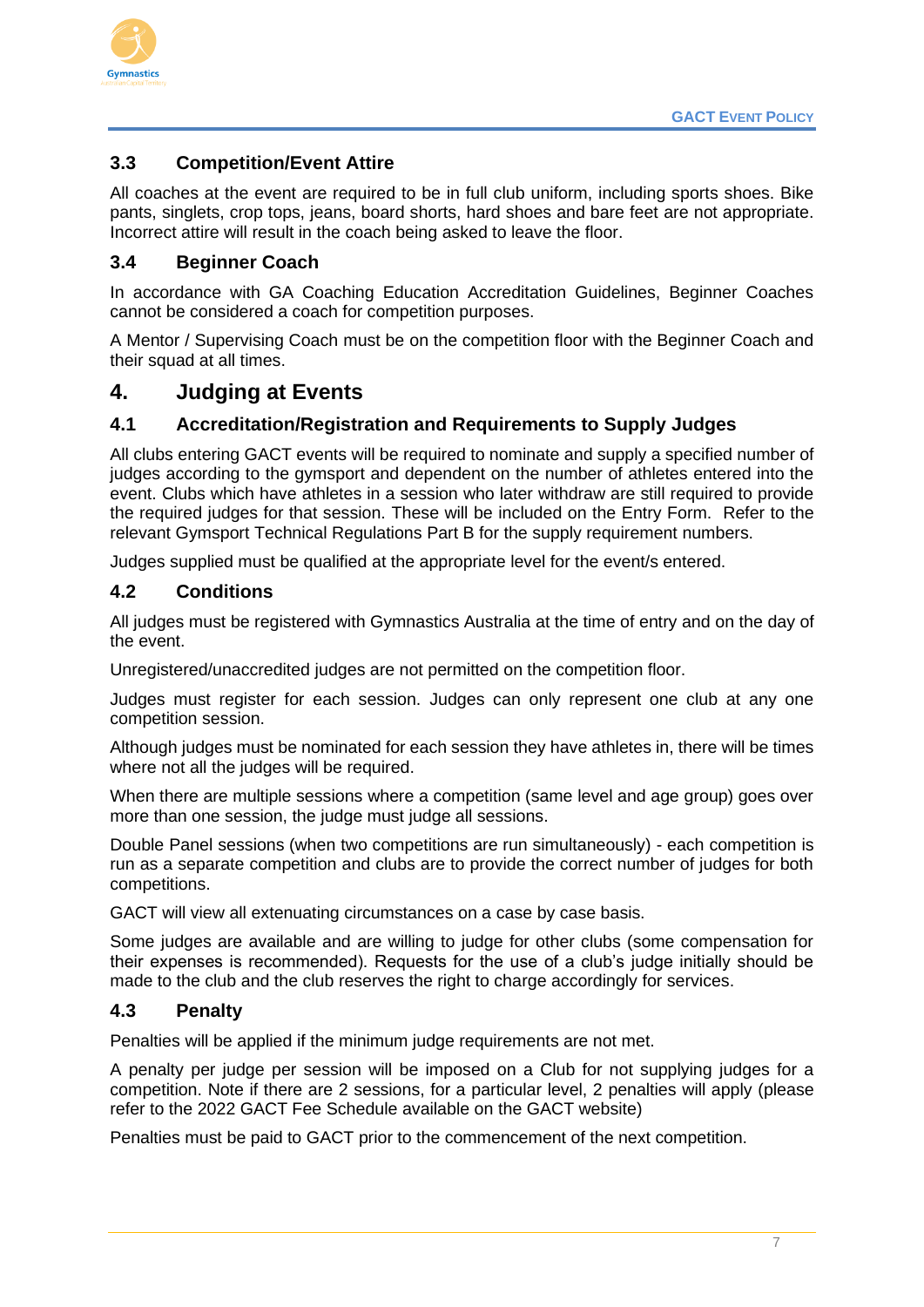

#### <span id="page-7-0"></span>**3.3 Competition/Event Attire**

All coaches at the event are required to be in full club uniform, including sports shoes. Bike pants, singlets, crop tops, jeans, board shorts, hard shoes and bare feet are not appropriate. Incorrect attire will result in the coach being asked to leave the floor.

#### <span id="page-7-1"></span>**3.4 Beginner Coach**

In accordance with GA Coaching Education Accreditation Guidelines, Beginner Coaches cannot be considered a coach for competition purposes.

A Mentor / Supervising Coach must be on the competition floor with the Beginner Coach and their squad at all times.

#### <span id="page-7-2"></span>**4. Judging at Events**

#### <span id="page-7-3"></span>**4.1 Accreditation/Registration and Requirements to Supply Judges**

All clubs entering GACT events will be required to nominate and supply a specified number of judges according to the gymsport and dependent on the number of athletes entered into the event. Clubs which have athletes in a session who later withdraw are still required to provide the required judges for that session. These will be included on the Entry Form. Refer to the relevant Gymsport Technical Regulations Part B for the supply requirement numbers.

Judges supplied must be qualified at the appropriate level for the event/s entered.

#### <span id="page-7-4"></span>**4.2 Conditions**

All judges must be registered with Gymnastics Australia at the time of entry and on the day of the event.

Unregistered/unaccredited judges are not permitted on the competition floor.

Judges must register for each session. Judges can only represent one club at any one competition session.

Although judges must be nominated for each session they have athletes in, there will be times where not all the judges will be required.

When there are multiple sessions where a competition (same level and age group) goes over more than one session, the judge must judge all sessions.

Double Panel sessions (when two competitions are run simultaneously) - each competition is run as a separate competition and clubs are to provide the correct number of judges for both competitions.

GACT will view all extenuating circumstances on a case by case basis.

Some judges are available and are willing to judge for other clubs (some compensation for their expenses is recommended). Requests for the use of a club's judge initially should be made to the club and the club reserves the right to charge accordingly for services.

#### <span id="page-7-5"></span>**4.3 Penalty**

Penalties will be applied if the minimum judge requirements are not met.

A penalty per judge per session will be imposed on a Club for not supplying judges for a competition. Note if there are 2 sessions, for a particular level, 2 penalties will apply (please refer to the 2022 GACT Fee Schedule available on the GACT website)

Penalties must be paid to GACT prior to the commencement of the next competition.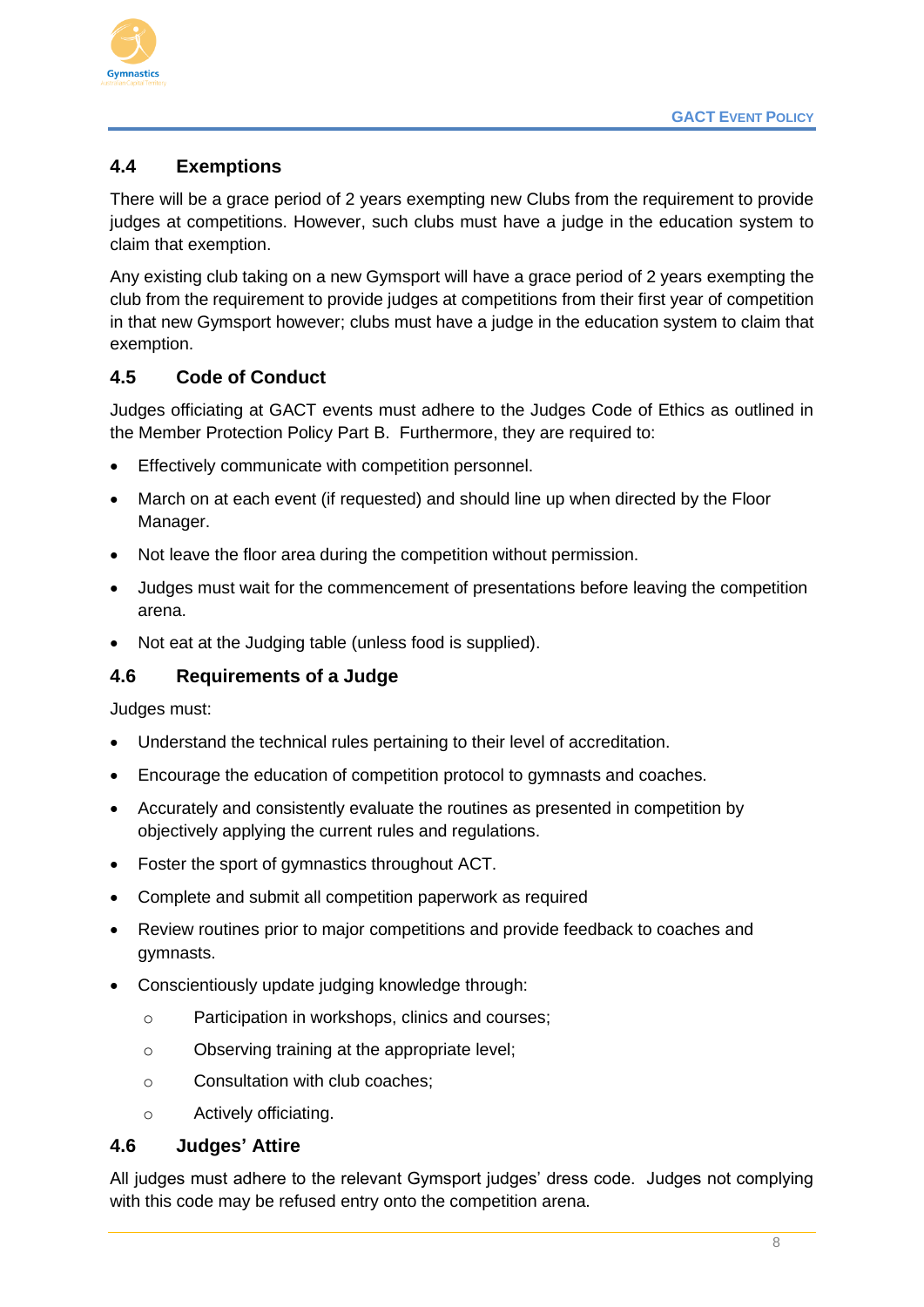

## <span id="page-8-0"></span>**4.4 Exemptions**

There will be a grace period of 2 years exempting new Clubs from the requirement to provide judges at competitions. However, such clubs must have a judge in the education system to claim that exemption.

Any existing club taking on a new Gymsport will have a grace period of 2 years exempting the club from the requirement to provide judges at competitions from their first year of competition in that new Gymsport however; clubs must have a judge in the education system to claim that exemption.

#### <span id="page-8-1"></span>**4.5 Code of Conduct**

Judges officiating at GACT events must adhere to the Judges Code of Ethics as outlined in the Member Protection Policy Part B. Furthermore, they are required to:

- Effectively communicate with competition personnel.
- March on at each event (if requested) and should line up when directed by the Floor Manager.
- Not leave the floor area during the competition without permission.
- Judges must wait for the commencement of presentations before leaving the competition arena.
- Not eat at the Judging table (unless food is supplied).

#### <span id="page-8-2"></span>**4.6 Requirements of a Judge**

Judges must:

- Understand the technical rules pertaining to their level of accreditation.
- Encourage the education of competition protocol to gymnasts and coaches.
- Accurately and consistently evaluate the routines as presented in competition by objectively applying the current rules and regulations.
- Foster the sport of gymnastics throughout ACT.
- Complete and submit all competition paperwork as required
- Review routines prior to major competitions and provide feedback to coaches and gymnasts.
- Conscientiously update judging knowledge through:
	- o Participation in workshops, clinics and courses;
	- o Observing training at the appropriate level;
	- o Consultation with club coaches;
	- o Actively officiating.

#### <span id="page-8-3"></span>**4.6 Judges' Attire**

All judges must adhere to the relevant Gymsport judges' dress code. Judges not complying with this code may be refused entry onto the competition arena.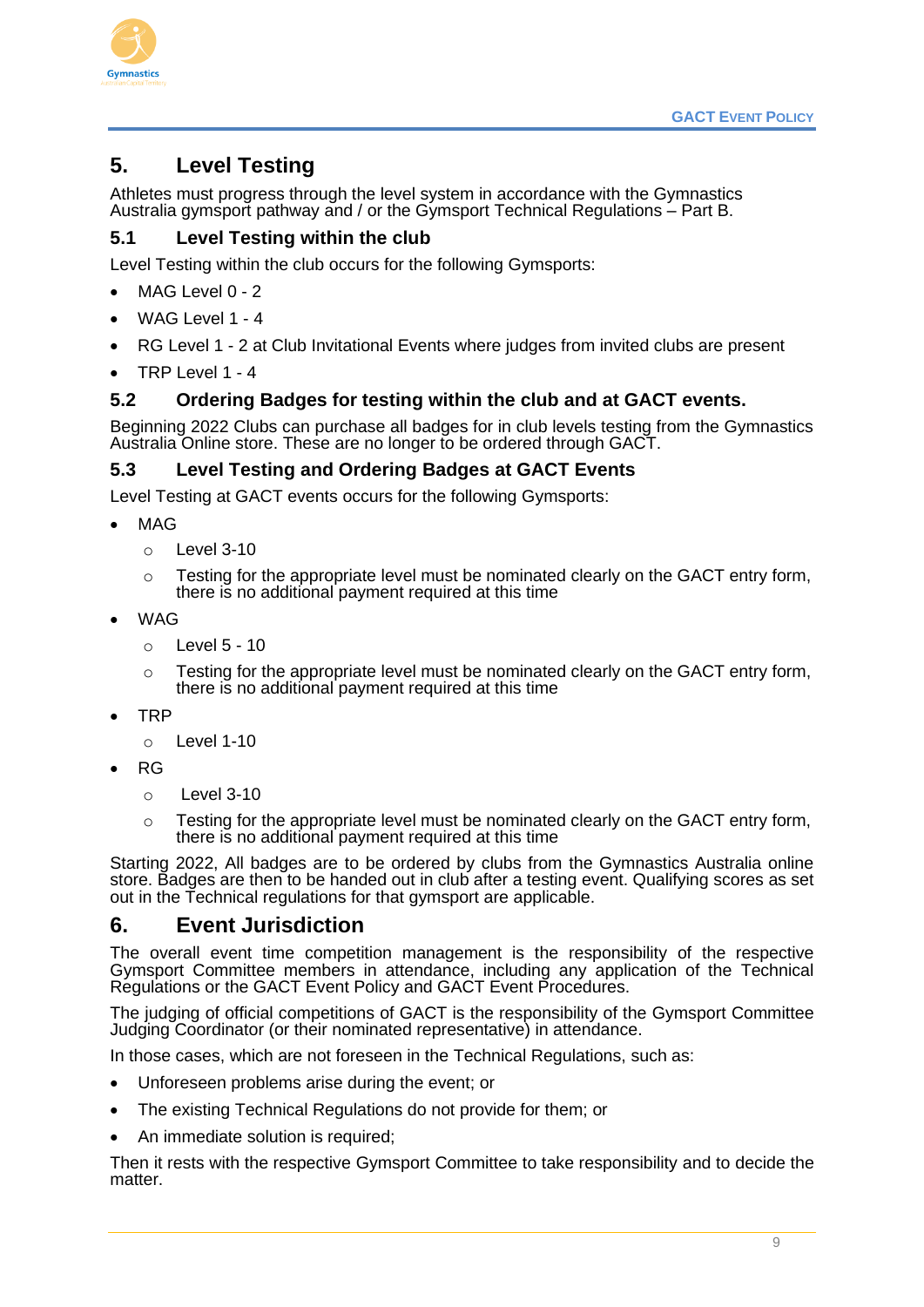

# <span id="page-9-0"></span>**5. Level Testing**

<span id="page-9-1"></span>Athletes must progress through the level system in accordance with the Gymnastics Australia gymsport pathway and / or the Gymsport Technical Regulations – Part B.

#### <span id="page-9-2"></span>**5.1 Level Testing within the club**

Level Testing within the club occurs for the following Gymsports:

- MAG Level 0 2
- WAG Level 1 4
- RG Level 1 2 at Club Invitational Events where judges from invited clubs are present
- $\bullet$  TRP Level 1 4

#### <span id="page-9-3"></span>**5.2 Ordering Badges for testing within the club and at GACT events.**

Beginning 2022 Clubs can purchase all badges for in club levels testing from the Gymnastics Australia Online store. These are no longer to be ordered through GACT.

#### <span id="page-9-4"></span>**5.3 Level Testing and Ordering Badges at GACT Events**

Level Testing at GACT events occurs for the following Gymsports:

- MAG
	- $\circ$  Level 3-10
	- $\circ$  Testing for the appropriate level must be nominated clearly on the GACT entry form, there is no additional payment required at this time
- WAG
	- o Level 5 10
	- $\circ$  Testing for the appropriate level must be nominated clearly on the GACT entry form, there is no additional payment required at this time
- TRP
	- $\circ$  Level 1-10
- RG
	- $\circ$  Level 3-10
	- $\circ$  Testing for the appropriate level must be nominated clearly on the GACT entry form, there is no additional payment required at this time

Starting 2022, All badges are to be ordered by clubs from the Gymnastics Australia online store. Badges are then to be handed out in club after a testing event. Qualifying scores as set out in the Technical regulations for that gymsport are applicable.

#### <span id="page-9-5"></span>**6. Event Jurisdiction**

The overall event time competition management is the responsibility of the respective Gymsport Committee members in attendance, including any application of the Technical Regulations or the GACT Event Policy and GACT Event Procedures.

The judging of official competitions of GACT is the responsibility of the Gymsport Committee Judging Coordinator (or their nominated representative) in attendance.

In those cases, which are not foreseen in the Technical Regulations, such as:

- Unforeseen problems arise during the event; or
- The existing Technical Regulations do not provide for them; or
- An immediate solution is required;

Then it rests with the respective Gymsport Committee to take responsibility and to decide the matter.